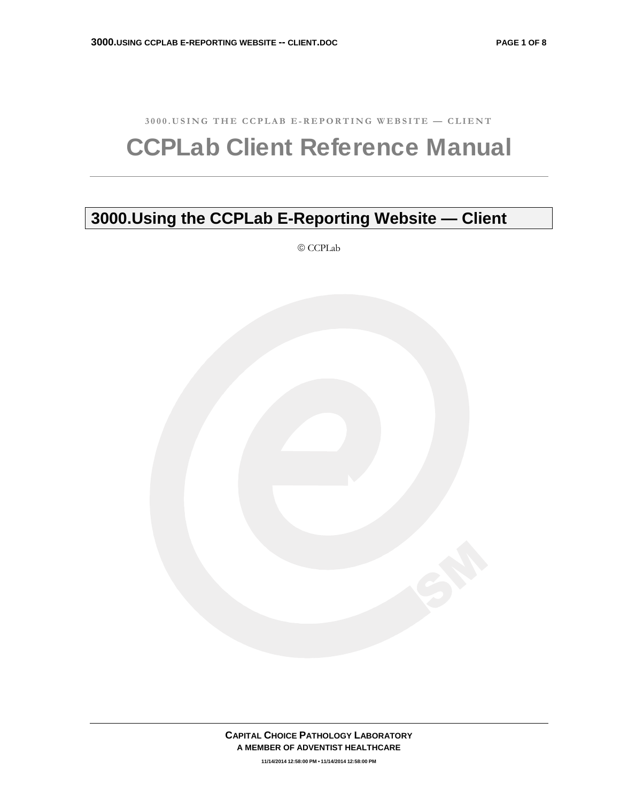**3000.USING THE CCPLAB E-REPORTING WEBSITE — CLIENT** 

# CCPLab Client Reference Manual

# **3000.Using the CCPLab E-Reporting Website — Client**

© CCPLab



**11/14/2014 12:58:00 PM • 11/14/2014 12:58:00 PM**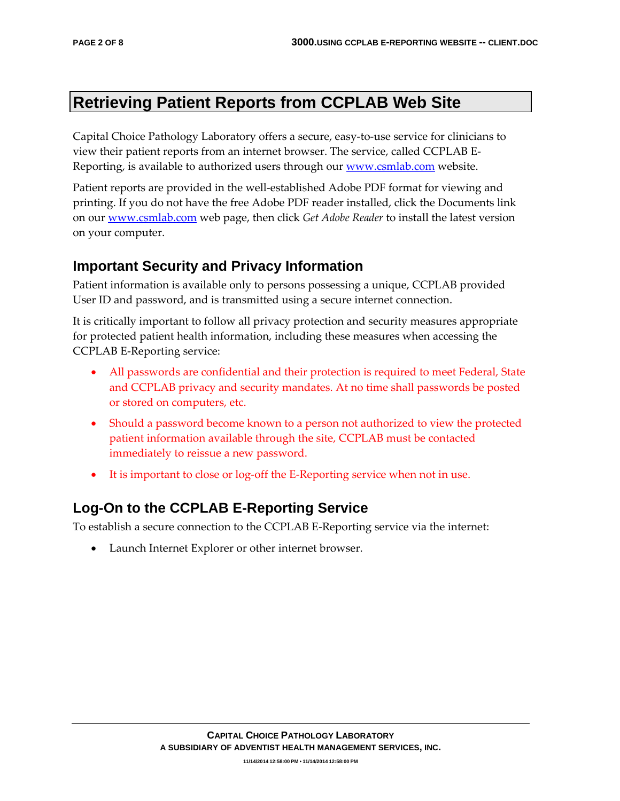# **Retrieving Patient Reports from CCPLAB Web Site**

Capital Choice Pathology Laboratory offers a secure, easy‐to‐use service for clinicians to view their patient reports from an internet browser. The service, called CCPLAB E‐ Reporting, is available to authorized users through our www.csmlab.com website.

Patient reports are provided in the well‐established Adobe PDF format for viewing and printing. If you do not have the free Adobe PDF reader installed, click the Documents link on our www.csmlab.com web page, then click *Get Adobe Reader* to install the latest version on your computer.

## **Important Security and Privacy Information**

Patient information is available only to persons possessing a unique, CCPLAB provided User ID and password, and is transmitted using a secure internet connection.

It is critically important to follow all privacy protection and security measures appropriate for protected patient health information, including these measures when accessing the CCPLAB E‐Reporting service:

- All passwords are confidential and their protection is required to meet Federal, State and CCPLAB privacy and security mandates. At no time shall passwords be posted or stored on computers, etc.
- Should a password become known to a person not authorized to view the protected patient information available through the site, CCPLAB must be contacted immediately to reissue a new password.
- It is important to close or log-off the E-Reporting service when not in use.

## **Log-On to the CCPLAB E-Reporting Service**

To establish a secure connection to the CCPLAB E‐Reporting service via the internet:

• Launch Internet Explorer or other internet browser.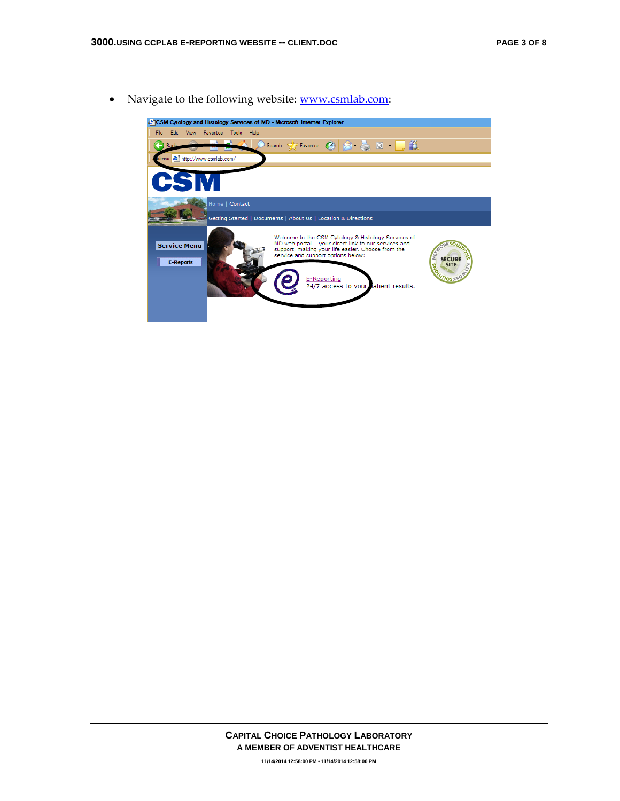• Navigate to the following website: www.csmlab.com:

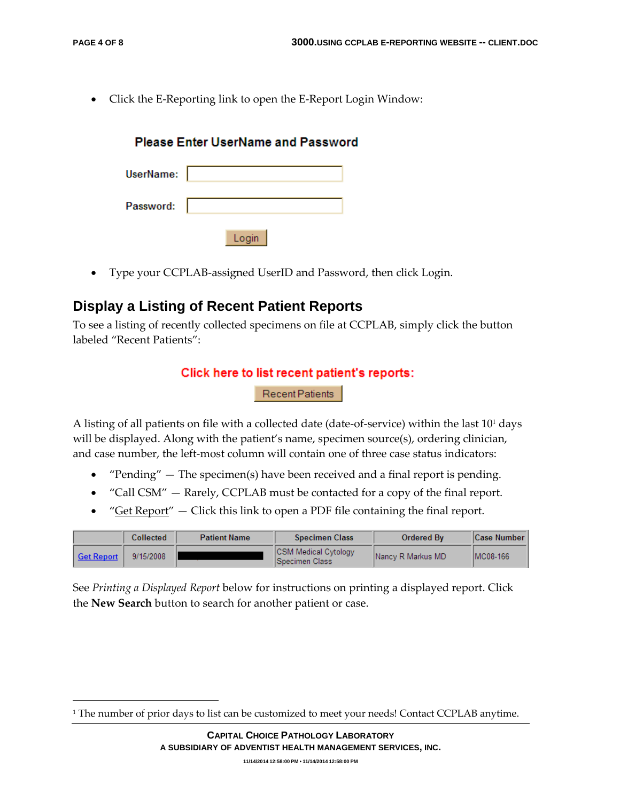• Click the E‐Reporting link to open the E‐Report Login Window:

|           | <b>Please Enter UserName and Password</b> |
|-----------|-------------------------------------------|
| UserName: |                                           |
| Password: |                                           |
|           | Login                                     |

• Type your CCPLAB-assigned UserID and Password, then click Login.

#### **Display a Listing of Recent Patient Reports**

<u> 1989 - Johann Stein, marwolaethau a bh</u>

To see a listing of recently collected specimens on file at CCPLAB, simply click the button labeled "Recent Patients":

#### Click here to list recent patient's reports:

Recent Patients

A listing of all patients on file with a collected date (date-of-service) within the last 10<sup>1</sup> days will be displayed. Along with the patient's name, specimen source(s), ordering clinician, and case number, the left-most column will contain one of three case status indicators:

- "Pending" The specimen(s) have been received and a final report is pending.
- "Call CSM" Rarely, CCPLAB must be contacted for a copy of the final report.
- "Get Report"  $-$  Click this link to open a PDF file containing the final report.

|            | Collected | <b>Patient Name</b> | <b>Specimen Class</b>                                  | Ordered By        | <b>Case Number</b> |
|------------|-----------|---------------------|--------------------------------------------------------|-------------------|--------------------|
| Get Report | 9/15/2008 |                     | <b>ICSM Medical Cytology</b><br><b>ISpecimen Class</b> | Nancy R Markus MD | IMC08-166          |

See *Printing a Displayed Report* below for instructions on printing a displayed report. Click the **New Search** button to search for another patient or case.

<sup>&</sup>lt;sup>1</sup> The number of prior days to list can be customized to meet your needs! Contact CCPLAB anytime.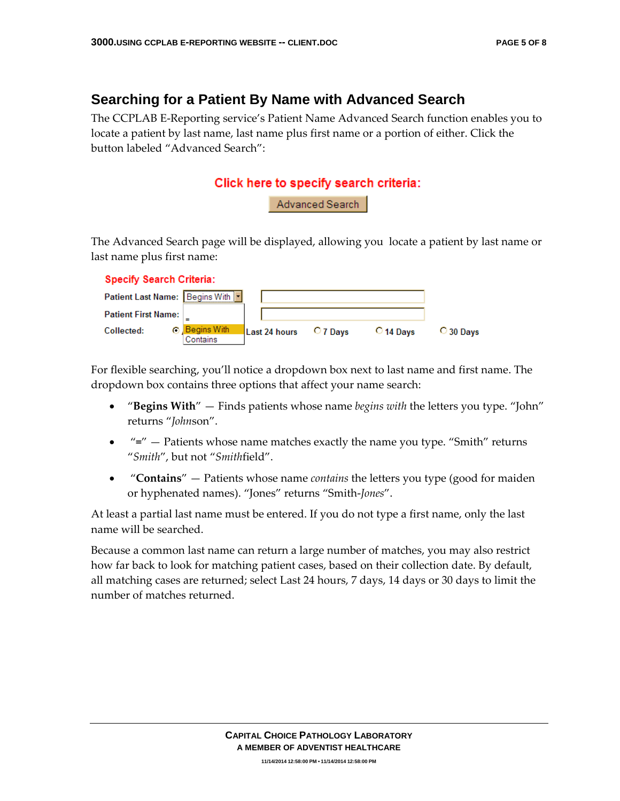## **Searching for a Patient By Name with Advanced Search**

The CCPLAB E‐Reporting service's Patient Name Advanced Search function enables you to locate a patient by last name, last name plus first name or a portion of either. Click the button labeled "Advanced Search":



The Advanced Search page will be displayed, allowing you locate a patient by last name or last name plus first name:

| <b>Specify Search Criteria:</b>      |                         |               |          |                    |                    |
|--------------------------------------|-------------------------|---------------|----------|--------------------|--------------------|
| Patient Last Name:   Begins With   - |                         |               |          |                    |                    |
| <b>Patient First Name:</b>           |                         |               |          |                    |                    |
| OЛ<br>Collected:                     | Begins With<br>Contains | Last 24 hours | O 7 Davs | $\bigcirc$ 14 Davs | $\bigcirc$ 30 Days |

For flexible searching, you'll notice a dropdown box next to last name and first name. The dropdown box contains three options that affect your name search:

- "**Begins With**" Finds patients whose name *begins with* the letters you type. "John" returns "*John*son".
- "**=**" Patients whose name matches exactly the name you type. "Smith" returns "*Smith*", but not "*Smith*field".
- "**Contains**" Patients whose name *contains* the letters you type (good for maiden or hyphenated names). "Jones" returns "Smith‐*Jones*".

At least a partial last name must be entered. If you do not type a first name, only the last name will be searched.

Because a common last name can return a large number of matches, you may also restrict how far back to look for matching patient cases, based on their collection date. By default, all matching cases are returned; select Last 24 hours, 7 days, 14 days or 30 days to limit the number of matches returned.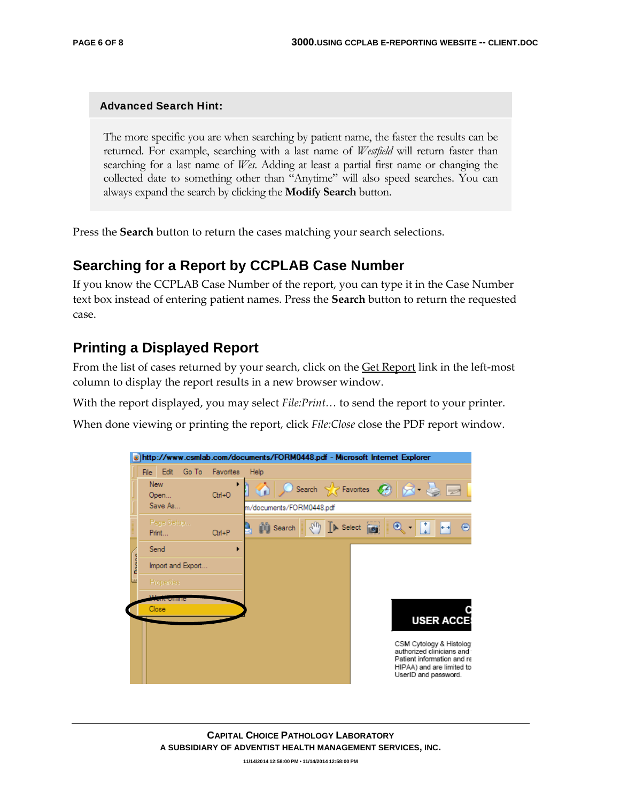#### Advanced Search Hint:

The more specific you are when searching by patient name, the faster the results can be returned. For example, searching with a last name of *Westfield* will return faster than searching for a last name of *Wes*. Adding at least a partial first name or changing the collected date to something other than "Anytime" will also speed searches. You can always expand the search by clicking the **Modify Search** button.

Press the **Search** button to return the cases matching your search selections.

#### **Searching for a Report by CCPLAB Case Number**

If you know the CCPLAB Case Number of the report, you can type it in the Case Number text box instead of entering patient names. Press the **Search** button to return the requested case.

### **Printing a Displayed Report**

From the list of cases returned by your search, click on the **Get Report** link in the left-most column to display the report results in a new browser window.

With the report displayed, you may select *File:Print…* to send the report to your printer.

When done viewing or printing the report, click *File:Close* close the PDF report window.



**11/14/2014 12:58:00 PM • 11/14/2014 12:58:00 PM**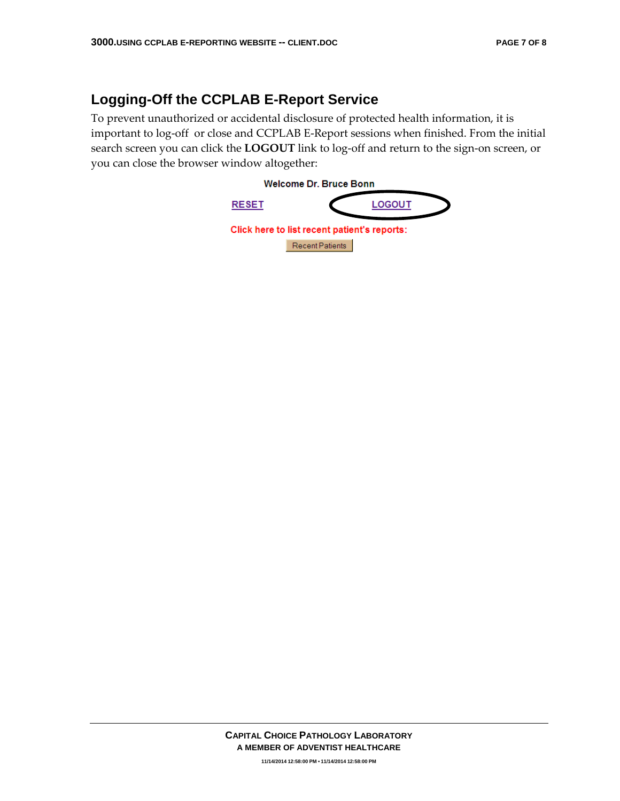# **Logging-Off the CCPLAB E-Report Service**

To prevent unauthorized or accidental disclosure of protected health information, it is important to log‐off or close and CCPLAB E‐Report sessions when finished. From the initial search screen you can click the LOGOUT link to log-off and return to the sign-on screen, or you can close the browser window altogether: